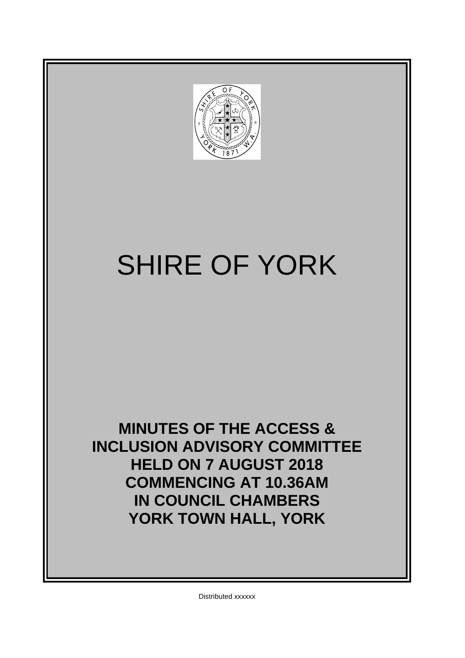

# SHIRE OF YORK

**MINUTES OF THE ACCESS & INCLUSION ADVISORY COMMITTEE HELD ON 7 AUGUST 2018 COMMENCING AT 10.36AM IN COUNCIL CHAMBERS YORK TOWN HALL, YORK**

Distributed xxxxxx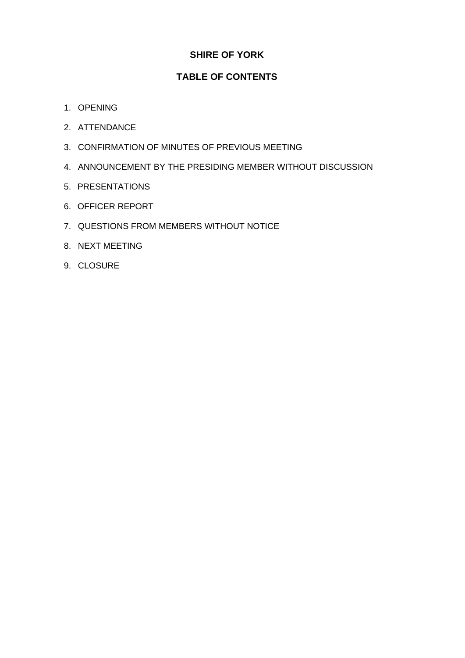# **SHIRE OF YORK**

# **TABLE OF CONTENTS**

- 1. OPENING
- 2. ATTENDANCE
- 3. CONFIRMATION OF MINUTES OF PREVIOUS MEETING
- 4. ANNOUNCEMENT BY THE PRESIDING MEMBER WITHOUT DISCUSSION
- 5. PRESENTATIONS
- 6. OFFICER REPORT
- 7. QUESTIONS FROM MEMBERS WITHOUT NOTICE
- 8. NEXT MEETING
- 9. CLOSURE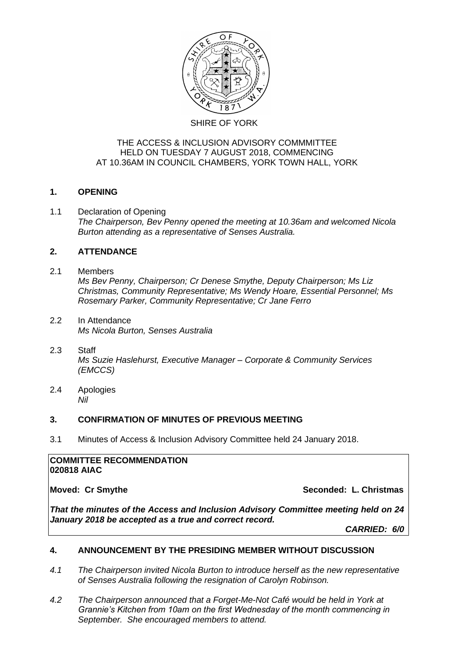

# THE ACCESS & INCLUSION ADVISORY COMMMITTEE HELD ON TUESDAY 7 AUGUST 2018, COMMENCING AT 10.36AM IN COUNCIL CHAMBERS, YORK TOWN HALL, YORK

# **1. OPENING**

1.1 Declaration of Opening *The Chairperson, Bev Penny opened the meeting at 10.36am and welcomed Nicola Burton attending as a representative of Senses Australia.*

# **2. ATTENDANCE**

# 2.1 Members *Ms Bev Penny, Chairperson; Cr Denese Smythe, Deputy Chairperson; Ms Liz Christmas, Community Representative; Ms Wendy Hoare, Essential Personnel; Ms Rosemary Parker, Community Representative; Cr Jane Ferro*

- 2.2 In Attendance *Ms Nicola Burton, Senses Australia*
- 2.3 Staff *Ms Suzie Haslehurst, Executive Manager – Corporate & Community Services (EMCCS)*
- 2.4 Apologies *Nil*

# **3. CONFIRMATION OF MINUTES OF PREVIOUS MEETING**

3.1 Minutes of Access & Inclusion Advisory Committee held 24 January 2018.

#### **COMMITTEE RECOMMENDATION 020818 AIAC**

**Moved: Cr Smythe Seconded: L. Christmas** 

*That the minutes of the Access and Inclusion Advisory Committee meeting held on 24 January 2018 be accepted as a true and correct record.*

*CARRIED: 6/0*

# **4. ANNOUNCEMENT BY THE PRESIDING MEMBER WITHOUT DISCUSSION**

- *4.1 The Chairperson invited Nicola Burton to introduce herself as the new representative of Senses Australia following the resignation of Carolyn Robinson.*
- *4.2 The Chairperson announced that a Forget-Me-Not Café would be held in York at Grannie's Kitchen from 10am on the first Wednesday of the month commencing in September. She encouraged members to attend.*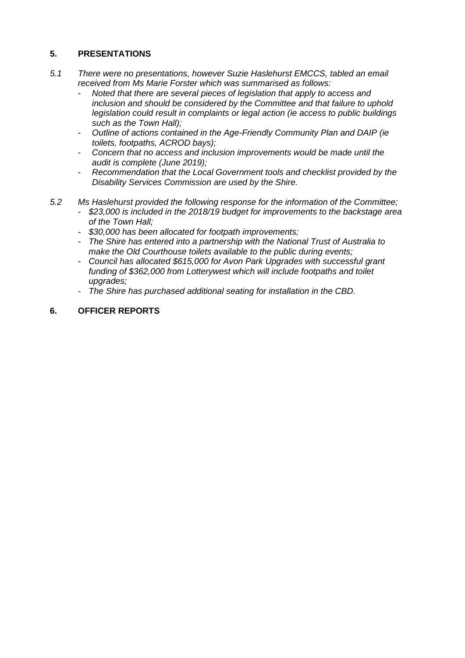# **5. PRESENTATIONS**

- *5.1 There were no presentations, however Suzie Haslehurst EMCCS, tabled an email received from Ms Marie Forster which was summarised as follows:*
	- *Noted that there are several pieces of legislation that apply to access and inclusion and should be considered by the Committee and that failure to uphold legislation could result in complaints or legal action (ie access to public buildings such as the Town Hall);*
	- *Outline of actions contained in the Age-Friendly Community Plan and DAIP (ie toilets, footpaths, ACROD bays);*
	- *Concern that no access and inclusion improvements would be made until the audit is complete (June 2019);*
	- *Recommendation that the Local Government tools and checklist provided by the Disability Services Commission are used by the Shire.*
- *5.2 Ms Haslehurst provided the following response for the information of the Committee;*
	- *- \$23,000 is included in the 2018/19 budget for improvements to the backstage area of the Town Hall;*
	- *- \$30,000 has been allocated for footpath improvements;*
	- *- The Shire has entered into a partnership with the National Trust of Australia to make the Old Courthouse toilets available to the public during events;*
	- *- Council has allocated \$615,000 for Avon Park Upgrades with successful grant funding of \$362,000 from Lotterywest which will include footpaths and toilet upgrades;*
	- *- The Shire has purchased additional seating for installation in the CBD.*

# **6. OFFICER REPORTS**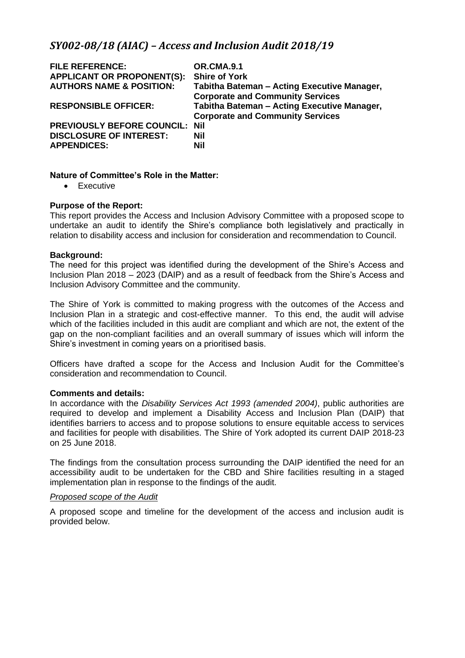# *SY002-08/18 (AIAC) – Access and Inclusion Audit 2018/19*

| OR.CMA.9.1                                  |
|---------------------------------------------|
| <b>Shire of York</b>                        |
| Tabitha Bateman - Acting Executive Manager, |
| <b>Corporate and Community Services</b>     |
| Tabitha Bateman - Acting Executive Manager, |
| <b>Corporate and Community Services</b>     |
|                                             |
|                                             |
|                                             |
|                                             |

## **Nature of Committee's Role in the Matter:**

• Executive

#### **Purpose of the Report:**

This report provides the Access and Inclusion Advisory Committee with a proposed scope to undertake an audit to identify the Shire's compliance both legislatively and practically in relation to disability access and inclusion for consideration and recommendation to Council.

#### **Background:**

The need for this project was identified during the development of the Shire's Access and Inclusion Plan 2018 – 2023 (DAIP) and as a result of feedback from the Shire's Access and Inclusion Advisory Committee and the community.

The Shire of York is committed to making progress with the outcomes of the Access and Inclusion Plan in a strategic and cost-effective manner. To this end, the audit will advise which of the facilities included in this audit are compliant and which are not, the extent of the gap on the non-compliant facilities and an overall summary of issues which will inform the Shire's investment in coming years on a prioritised basis.

Officers have drafted a scope for the Access and Inclusion Audit for the Committee's consideration and recommendation to Council.

#### **Comments and details:**

In accordance with the *Disability Services Act 1993 (amended 2004)*, public authorities are required to develop and implement a Disability Access and Inclusion Plan (DAIP) that identifies barriers to access and to propose solutions to ensure equitable access to services and facilities for people with disabilities. The Shire of York adopted its current DAIP 2018-23 on 25 June 2018.

The findings from the consultation process surrounding the DAIP identified the need for an accessibility audit to be undertaken for the CBD and Shire facilities resulting in a staged implementation plan in response to the findings of the audit.

#### *Proposed scope of the Audit*

A proposed scope and timeline for the development of the access and inclusion audit is provided below.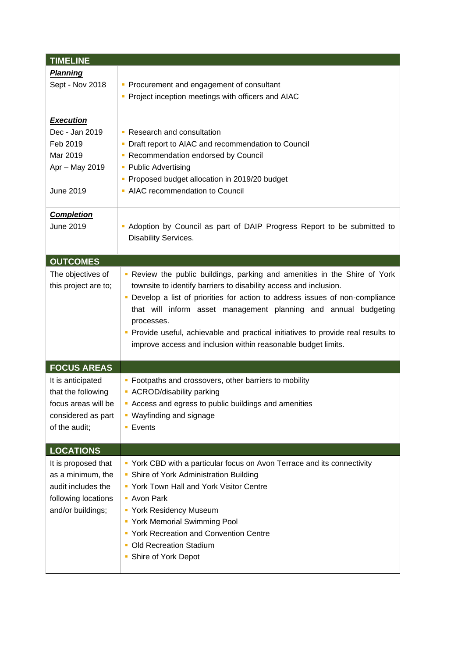| <b>TIMELINE</b>                                                                                            |                                                                                                                                                                                                                                                                                                                                                                                                                                                                        |  |
|------------------------------------------------------------------------------------------------------------|------------------------------------------------------------------------------------------------------------------------------------------------------------------------------------------------------------------------------------------------------------------------------------------------------------------------------------------------------------------------------------------------------------------------------------------------------------------------|--|
| <b>Planning</b><br>Sept - Nov 2018                                                                         | • Procurement and engagement of consultant<br>• Project inception meetings with officers and AIAC                                                                                                                                                                                                                                                                                                                                                                      |  |
| <b>Execution</b><br>Dec - Jan 2019<br>Feb 2019<br>Mar 2019<br>Apr - May 2019<br>June 2019                  | • Research and consultation<br>Draft report to AIAC and recommendation to Council<br>• Recommendation endorsed by Council<br>• Public Advertising<br>• Proposed budget allocation in 2019/20 budget<br>• AIAC recommendation to Council                                                                                                                                                                                                                                |  |
| <b>Completion</b><br>June 2019                                                                             | - Adoption by Council as part of DAIP Progress Report to be submitted to<br>Disability Services.                                                                                                                                                                                                                                                                                                                                                                       |  |
| <b>OUTCOMES</b>                                                                                            |                                                                                                                                                                                                                                                                                                                                                                                                                                                                        |  |
| The objectives of<br>this project are to;                                                                  | . Review the public buildings, parking and amenities in the Shire of York<br>townsite to identify barriers to disability access and inclusion.<br>• Develop a list of priorities for action to address issues of non-compliance<br>that will inform asset management planning and annual budgeting<br>processes.<br>• Provide useful, achievable and practical initiatives to provide real results to<br>improve access and inclusion within reasonable budget limits. |  |
| <b>FOCUS AREAS</b>                                                                                         |                                                                                                                                                                                                                                                                                                                                                                                                                                                                        |  |
| It is anticipated<br>that the following<br>focus areas will be<br>considered as part<br>of the audit;      | • Footpaths and crossovers, other barriers to mobility<br>• ACROD/disability parking<br>Access and egress to public buildings and amenities<br>• Wayfinding and signage<br><b>Events</b>                                                                                                                                                                                                                                                                               |  |
| <b>LOCATIONS</b>                                                                                           |                                                                                                                                                                                                                                                                                                                                                                                                                                                                        |  |
| It is proposed that<br>as a minimum, the<br>audit includes the<br>following locations<br>and/or buildings; | • York CBD with a particular focus on Avon Terrace and its connectivity<br>• Shire of York Administration Building<br>• York Town Hall and York Visitor Centre<br>- Avon Park<br>• York Residency Museum<br>• York Memorial Swimming Pool<br>• York Recreation and Convention Centre<br>• Old Recreation Stadium<br>• Shire of York Depot                                                                                                                              |  |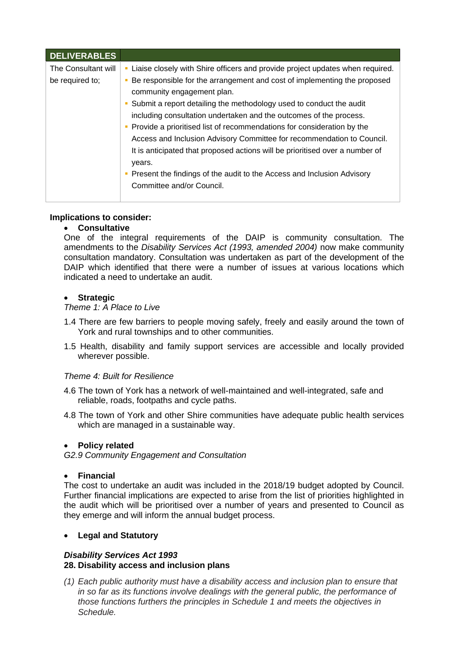| <b>DELIVERABLES</b> |                                                                                                                                                                                                                                                                                                                                                                                                                                                                                                                                                                                                            |
|---------------------|------------------------------------------------------------------------------------------------------------------------------------------------------------------------------------------------------------------------------------------------------------------------------------------------------------------------------------------------------------------------------------------------------------------------------------------------------------------------------------------------------------------------------------------------------------------------------------------------------------|
| The Consultant will | - Liaise closely with Shire officers and provide project updates when required.                                                                                                                                                                                                                                                                                                                                                                                                                                                                                                                            |
| be required to;     | Be responsible for the arrangement and cost of implementing the proposed<br>community engagement plan.<br>• Submit a report detailing the methodology used to conduct the audit<br>including consultation undertaken and the outcomes of the process.<br>Provide a prioritised list of recommendations for consideration by the<br>Access and Inclusion Advisory Committee for recommendation to Council.<br>It is anticipated that proposed actions will be prioritised over a number of<br>years.<br>Present the findings of the audit to the Access and Inclusion Advisory<br>Committee and/or Council. |
|                     |                                                                                                                                                                                                                                                                                                                                                                                                                                                                                                                                                                                                            |

# **Implications to consider:**

#### • **Consultative**

One of the integral requirements of the DAIP is community consultation. The amendments to the *Disability Services Act (1993, amended 2004)* now make community consultation mandatory. Consultation was undertaken as part of the development of the DAIP which identified that there were a number of issues at various locations which indicated a need to undertake an audit.

#### • **Strategic**

#### *Theme 1: A Place to Live*

- 1.4 There are few barriers to people moving safely, freely and easily around the town of York and rural townships and to other communities.
- 1.5 Health, disability and family support services are accessible and locally provided wherever possible.

# *Theme 4: Built for Resilience*

- 4.6 The town of York has a network of well-maintained and well-integrated, safe and reliable, roads, footpaths and cycle paths.
- 4.8 The town of York and other Shire communities have adequate public health services which are managed in a sustainable way.

#### • **Policy related**

*G2.9 Community Engagement and Consultation*

#### • **Financial**

The cost to undertake an audit was included in the 2018/19 budget adopted by Council. Further financial implications are expected to arise from the list of priorities highlighted in the audit which will be prioritised over a number of years and presented to Council as they emerge and will inform the annual budget process.

# • **Legal and Statutory**

#### *Disability Services Act 1993* **28. Disability access and inclusion plans**

*(1) Each public authority must have a disability access and inclusion plan to ensure that in so far as its functions involve dealings with the general public, the performance of those functions furthers the principles in Schedule 1 and meets the objectives in Schedule.*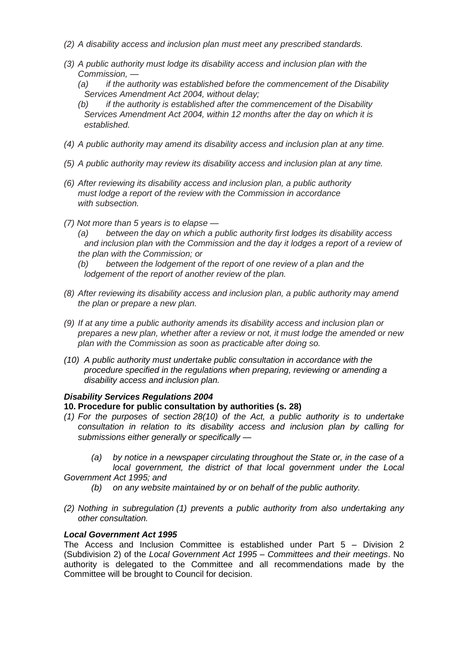- *(2) A disability access and inclusion plan must meet any prescribed standards.*
- *(3) A public authority must lodge its disability access and inclusion plan with the Commission, —*
	- *(a) if the authority was established before the commencement of the Disability Services Amendment Act 2004, without delay;*
	- *(b) if the authority is established after the commencement of the Disability Services Amendment Act 2004, within 12 months after the day on which it is established.*
- *(4) A public authority may amend its disability access and inclusion plan at any time.*
- *(5) A public authority may review its disability access and inclusion plan at any time.*
- *(6) After reviewing its disability access and inclusion plan, a public authority must lodge a report of the review with the Commission in accordance with subsection.*
- *(7) Not more than 5 years is to elapse —*
	- *(a) between the day on which a public authority first lodges its disability access and inclusion plan with the Commission and the day it lodges a report of a review of the plan with the Commission; or*
	- *(b) between the lodgement of the report of one review of a plan and the lodgement of the report of another review of the plan.*
- *(8) After reviewing its disability access and inclusion plan, a public authority may amend the plan or prepare a new plan.*
- *(9) If at any time a public authority amends its disability access and inclusion plan or prepares a new plan, whether after a review or not, it must lodge the amended or new plan with the Commission as soon as practicable after doing so.*
- *(10) A public authority must undertake public consultation in accordance with the procedure specified in the regulations when preparing, reviewing or amending a disability access and inclusion plan.*

# *Disability Services Regulations 2004*

# **10. Procedure for public consultation by authorities (s. 28)**

- *(1) For the purposes of section 28(10) of the Act, a public authority is to undertake consultation in relation to its disability access and inclusion plan by calling for submissions either generally or specifically —*
- *(a) by notice in a newspaper circulating throughout the State or, in the case of a local government, the district of that local government under the Local Government Act 1995; and*
	- *(b) on any website maintained by or on behalf of the public authority.*
- *(2) Nothing in subregulation (1) prevents a public authority from also undertaking any other consultation.*

# *Local Government Act 1995*

The Access and Inclusion Committee is established under Part 5 – Division 2 (Subdivision 2) of the *Local Government Act 1995 – Committees and their meetings*. No authority is delegated to the Committee and all recommendations made by the Committee will be brought to Council for decision.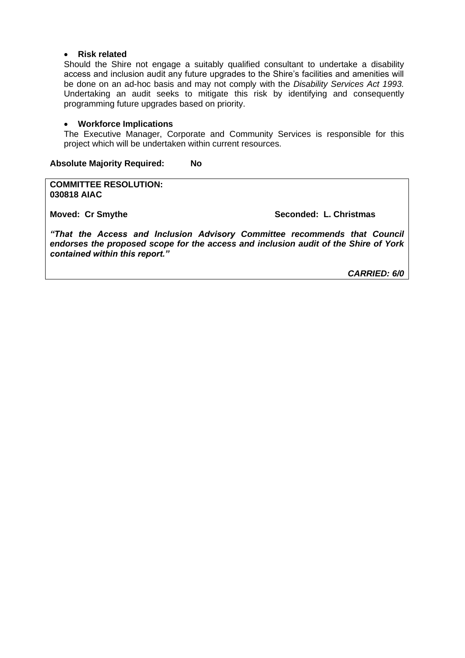#### • **Risk related**

Should the Shire not engage a suitably qualified consultant to undertake a disability access and inclusion audit any future upgrades to the Shire's facilities and amenities will be done on an ad-hoc basis and may not comply with the *Disability Services Act 1993.*  Undertaking an audit seeks to mitigate this risk by identifying and consequently programming future upgrades based on priority.

#### • **Workforce Implications**

The Executive Manager, Corporate and Community Services is responsible for this project which will be undertaken within current resources.

**Absolute Majority Required: No**

**COMMITTEE RESOLUTION: 030818 AIAC**

**Moved: Cr Smythe Seconded: L. Christmas**

*"That the Access and Inclusion Advisory Committee recommends that Council endorses the proposed scope for the access and inclusion audit of the Shire of York contained within this report."*

*CARRIED: 6/0*